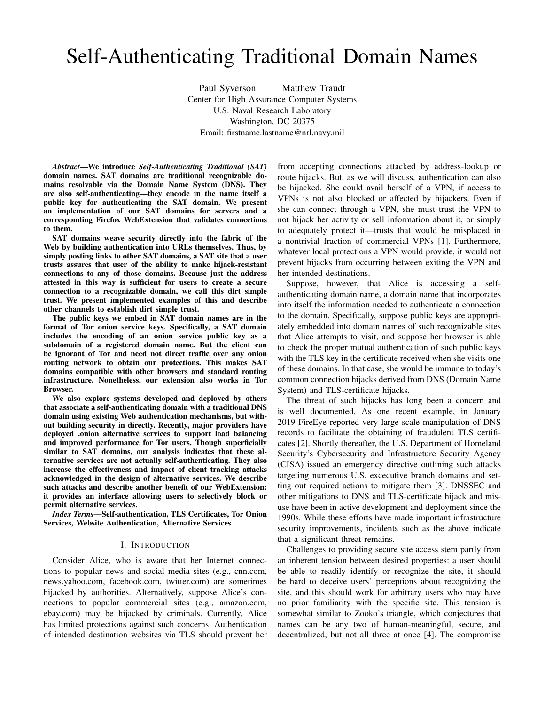# Self-Authenticating Traditional Domain Names

Paul Syverson Matthew Traudt Center for High Assurance Computer Systems U.S. Naval Research Laboratory Washington, DC 20375 Email: firstname.lastname@nrl.navy.mil

*Abstract*—We introduce *Self-Authenticating Traditional (SAT)* domain names. SAT domains are traditional recognizable domains resolvable via the Domain Name System (DNS). They are also self-authenticating—they encode in the name itself a public key for authenticating the SAT domain. We present an implementation of our SAT domains for servers and a corresponding Firefox WebExtension that validates connections to them.

SAT domains weave security directly into the fabric of the Web by building authentication into URLs themselves. Thus, by simply posting links to other SAT domains, a SAT site that a user trusts assures that user of the ability to make hijack-resistant connections to any of those domains. Because just the address attested in this way is sufficient for users to create a secure connection to a recognizable domain, we call this dirt simple trust. We present implemented examples of this and describe other channels to establish dirt simple trust.

The public keys we embed in SAT domain names are in the format of Tor onion service keys. Specifically, a SAT domain includes the encoding of an onion service public key as a subdomain of a registered domain name. But the client can be ignorant of Tor and need not direct traffic over any onion routing network to obtain our protections. This makes SAT domains compatible with other browsers and standard routing infrastructure. Nonetheless, our extension also works in Tor Browser.

We also explore systems developed and deployed by others that associate a self-authenticating domain with a traditional DNS domain using existing Web authentication mechanisms, but without building security in directly. Recently, major providers have deployed .onion alternative services to support load balancing and improved performance for Tor users. Though superficially similar to SAT domains, our analysis indicates that these alternative services are not actually self-authenticating. They also increase the effectiveness and impact of client tracking attacks acknowledged in the design of alternative services. We describe such attacks and describe another benefit of our WebExtension: it provides an interface allowing users to selectively block or permit alternative services.

*Index Terms*—Self-authentication, TLS Certificates, Tor Onion Services, Website Authentication, Alternative Services

### I. INTRODUCTION

Consider Alice, who is aware that her Internet connections to popular news and social media sites (e.g., cnn.com, news.yahoo.com, facebook.com, twitter.com) are sometimes hijacked by authorities. Alternatively, suppose Alice's connections to popular commercial sites (e.g., amazon.com, ebay.com) may be hijacked by criminals. Currently, Alice has limited protections against such concerns. Authentication of intended destination websites via TLS should prevent her from accepting connections attacked by address-lookup or route hijacks. But, as we will discuss, authentication can also be hijacked. She could avail herself of a VPN, if access to VPNs is not also blocked or affected by hijackers. Even if she can connect through a VPN, she must trust the VPN to not hijack her activity or sell information about it, or simply to adequately protect it—trusts that would be misplaced in a nontrivial fraction of commercial VPNs [1]. Furthermore, whatever local protections a VPN would provide, it would not prevent hijacks from occurring between exiting the VPN and her intended destinations.

Suppose, however, that Alice is accessing a selfauthenticating domain name, a domain name that incorporates into itself the information needed to authenticate a connection to the domain. Specifically, suppose public keys are appropriately embedded into domain names of such recognizable sites that Alice attempts to visit, and suppose her browser is able to check the proper mutual authentication of such public keys with the TLS key in the certificate received when she visits one of these domains. In that case, she would be immune to today's common connection hijacks derived from DNS (Domain Name System) and TLS-certificate hijacks.

The threat of such hijacks has long been a concern and is well documented. As one recent example, in January 2019 FireEye reported very large scale manipulation of DNS records to facilitate the obtaining of fraudulent TLS certificates [2]. Shortly thereafter, the U.S. Department of Homeland Security's Cybersecurity and Infrastructure Security Agency (CISA) issued an emergency directive outlining such attacks targeting numerous U.S. excecutive branch domains and setting out required actions to mitigate them [3]. DNSSEC and other mitigations to DNS and TLS-certificate hijack and misuse have been in active development and deployment since the 1990s. While these efforts have made important infrastructure security improvements, incidents such as the above indicate that a significant threat remains.

Challenges to providing secure site access stem partly from an inherent tension between desired properties: a user should be able to readily identify or recognize the site, it should be hard to deceive users' perceptions about recognizing the site, and this should work for arbitrary users who may have no prior familiarity with the specific site. This tension is somewhat similar to Zooko's triangle, which conjectures that names can be any two of human-meaningful, secure, and decentralized, but not all three at once [4]. The compromise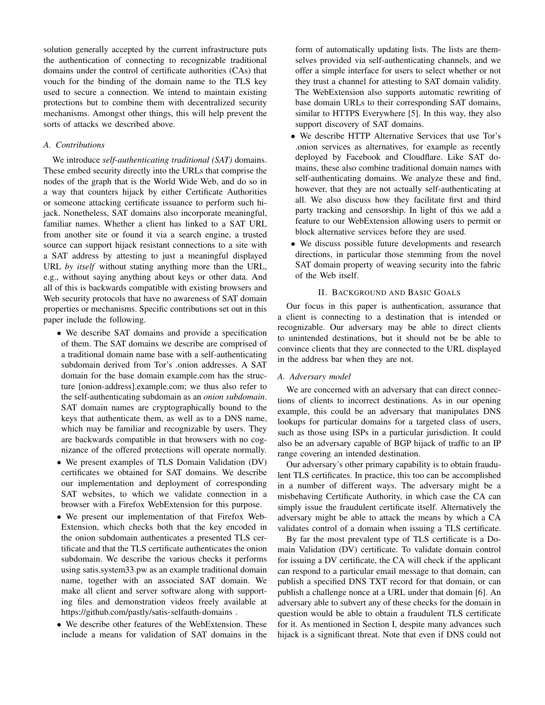solution generally accepted by the current infrastructure puts the authentication of connecting to recognizable traditional domains under the control of certificate authorities (CAs) that vouch for the binding of the domain name to the TLS key used to secure a connection. We intend to maintain existing protections but to combine them with decentralized security mechanisms. Amongst other things, this will help prevent the sorts of attacks we described above.

# *A. Contributions*

We introduce *self-authenticating traditional (SAT)* domains. These embed security directly into the URLs that comprise the nodes of the graph that is the World Wide Web, and do so in a way that counters hijack by either Certificate Authorities or someone attacking certificate issuance to perform such hijack. Nonetheless, SAT domains also incorporate meaningful, familiar names. Whether a client has linked to a SAT URL from another site or found it via a search engine, a trusted source can support hijack resistant connections to a site with a SAT address by attesting to just a meaningful displayed URL *by itself* without stating anything more than the URL, e.g., without saying anything about keys or other data. And all of this is backwards compatible with existing browsers and Web security protocols that have no awareness of SAT domain properties or mechanisms. Specific contributions set out in this paper include the following.

• We describe SAT domains and provide a specification of them. The SAT domains we describe are comprised of a traditional domain name base with a self-authenticating subdomain derived from Tor's .onion addresses. A SAT domain for the base domain example.com has the structure [onion-address].example.com; we thus also refer to the self-authenticating subdomain as an *onion subdomain*. SAT domain names are cryptographically bound to the keys that authenticate them, as well as to a DNS name, which may be familiar and recognizable by users. They are backwards compatible in that browsers with no cognizance of the offered protections will operate normally.

- We present examples of TLS Domain Validation (DV) certificates we obtained for SAT domains. We describe our implementation and deployment of corresponding SAT websites, to which we validate connection in a browser with a Firefox WebExtension for this purpose.
- We present our implementation of that Firefox Web-Extension, which checks both that the key encoded in the onion subdomain authenticates a presented TLS certificate and that the TLS certificate authenticates the onion subdomain. We describe the various checks it performs using satis.system33.pw as an example traditional domain name, together with an associated SAT domain. We make all client and server software along with supporting files and demonstration videos freely available at https://github.com/pastly/satis-selfauth-domains .
- We describe other features of the WebExtension. These include a means for validation of SAT domains in the

form of automatically updating lists. The lists are themselves provided via self-authenticating channels, and we offer a simple interface for users to select whether or not they trust a channel for attesting to SAT domain validity. The WebExtension also supports automatic rewriting of base domain URLs to their corresponding SAT domains, similar to HTTPS Everywhere [5]. In this way, they also support discovery of SAT domains.

- We describe HTTP Alternative Services that use Tor's .onion services as alternatives, for example as recently deployed by Facebook and Cloudflare. Like SAT domains, these also combine traditional domain names with self-authenticating domains. We analyze these and find, however, that they are not actually self-authenticating at all. We also discuss how they facilitate first and third party tracking and censorship. In light of this we add a feature to our WebExtension allowing users to permit or block alternative services before they are used.
- We discuss possible future developments and research directions, in particular those stemming from the novel SAT domain property of weaving security into the fabric of the Web itself.

# II. BACKGROUND AND BASIC GOALS

Our focus in this paper is authentication, assurance that a client is connecting to a destination that is intended or recognizable. Our adversary may be able to direct clients to unintended destinations, but it should not be be able to convince clients that they are connected to the URL displayed in the address bar when they are not.

# *A. Adversary model*

We are concerned with an adversary that can direct connections of clients to incorrect destinations. As in our opening example, this could be an adversary that manipulates DNS lookups for particular domains for a targeted class of users, such as those using ISPs in a particular jurisdiction. It could also be an adversary capable of BGP hijack of traffic to an IP range covering an intended destination.

Our adversary's other primary capability is to obtain fraudulent TLS certificates. In practice, this too can be accomplished in a number of different ways. The adversary might be a misbehaving Certificate Authority, in which case the CA can simply issue the fraudulent certificate itself. Alternatively the adversary might be able to attack the means by which a CA validates control of a domain when issuing a TLS certificate.

By far the most prevalent type of TLS certificate is a Domain Validation (DV) certificate. To validate domain control for issuing a DV certificate, the CA will check if the applicant can respond to a particular email message to that domain, can publish a specified DNS TXT record for that domain, or can publish a challenge nonce at a URL under that domain [6]. An adversary able to subvert any of these checks for the domain in question would be able to obtain a fraudulent TLS certificate for it. As mentioned in Section I, despite many advances such hijack is a significant threat. Note that even if DNS could not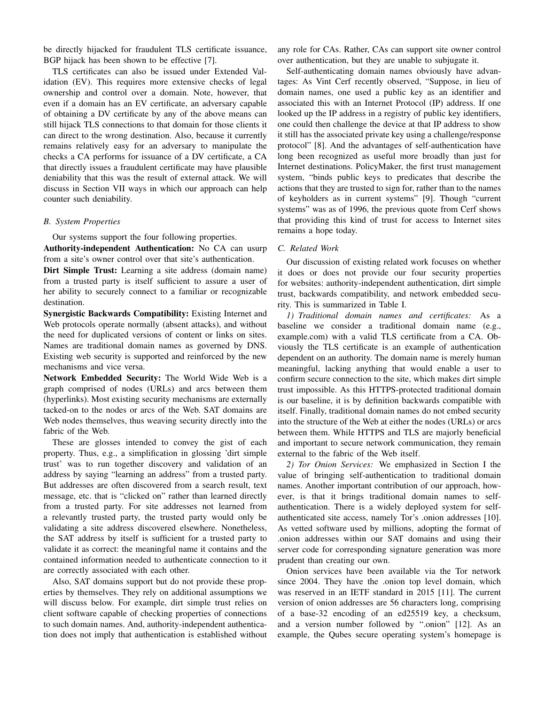be directly hijacked for fraudulent TLS certificate issuance, BGP hijack has been shown to be effective [7].

TLS certificates can also be issued under Extended Validation (EV). This requires more extensive checks of legal ownership and control over a domain. Note, however, that even if a domain has an EV certificate, an adversary capable of obtaining a DV certificate by any of the above means can still hijack TLS connections to that domain for those clients it can direct to the wrong destination. Also, because it currently remains relatively easy for an adversary to manipulate the checks a CA performs for issuance of a DV certificate, a CA that directly issues a fraudulent certificate may have plausible deniability that this was the result of external attack. We will discuss in Section VII ways in which our approach can help counter such deniability.

# *B. System Properties*

Our systems support the four following properties.

Authority-independent Authentication: No CA can usurp from a site's owner control over that site's authentication.

Dirt Simple Trust: Learning a site address (domain name) from a trusted party is itself sufficient to assure a user of her ability to securely connect to a familiar or recognizable destination.

Synergistic Backwards Compatibility: Existing Internet and Web protocols operate normally (absent attacks), and without the need for duplicated versions of content or links on sites. Names are traditional domain names as governed by DNS. Existing web security is supported and reinforced by the new mechanisms and vice versa.

Network Embedded Security: The World Wide Web is a graph comprised of nodes (URLs) and arcs between them (hyperlinks). Most existing security mechanisms are externally tacked-on to the nodes or arcs of the Web. SAT domains are Web nodes themselves, thus weaving security directly into the fabric of the Web.

These are glosses intended to convey the gist of each property. Thus, e.g., a simplification in glossing 'dirt simple trust' was to run together discovery and validation of an address by saying "learning an address" from a trusted party. But addresses are often discovered from a search result, text message, etc. that is "clicked on" rather than learned directly from a trusted party. For site addresses not learned from a relevantly trusted party, the trusted party would only be validating a site address discovered elsewhere. Nonetheless, the SAT address by itself is sufficient for a trusted party to validate it as correct: the meaningful name it contains and the contained information needed to authenticate connection to it are correctly associated with each other.

Also, SAT domains support but do not provide these properties by themselves. They rely on additional assumptions we will discuss below. For example, dirt simple trust relies on client software capable of checking properties of connections to such domain names. And, authority-independent authentication does not imply that authentication is established without any role for CAs. Rather, CAs can support site owner control over authentication, but they are unable to subjugate it.

Self-authenticating domain names obviously have advantages: As Vint Cerf recently observed, "Suppose, in lieu of domain names, one used a public key as an identifier and associated this with an Internet Protocol (IP) address. If one looked up the IP address in a registry of public key identifiers, one could then challenge the device at that IP address to show it still has the associated private key using a challenge/response protocol" [8]. And the advantages of self-authentication have long been recognized as useful more broadly than just for Internet destinations. PolicyMaker, the first trust management system, "binds public keys to predicates that describe the actions that they are trusted to sign for, rather than to the names of keyholders as in current systems" [9]. Though "current systems" was as of 1996, the previous quote from Cerf shows that providing this kind of trust for access to Internet sites remains a hope today.

# *C. Related Work*

Our discussion of existing related work focuses on whether it does or does not provide our four security properties for websites: authority-independent authentication, dirt simple trust, backwards compatibility, and network embedded security. This is summarized in Table I.

*1) Traditional domain names and certificates:* As a baseline we consider a traditional domain name (e.g., example.com) with a valid TLS certificate from a CA. Obviously the TLS certificate is an example of authentication dependent on an authority. The domain name is merely human meaningful, lacking anything that would enable a user to confirm secure connection to the site, which makes dirt simple trust impossible. As this HTTPS-protected traditional domain is our baseline, it is by definition backwards compatible with itself. Finally, traditional domain names do not embed security into the structure of the Web at either the nodes (URLs) or arcs between them. While HTTPS and TLS are majorly beneficial and important to secure network communication, they remain external to the fabric of the Web itself.

*2) Tor Onion Services:* We emphasized in Section I the value of bringing self-authentication to traditional domain names. Another important contribution of our approach, however, is that it brings traditional domain names to selfauthentication. There is a widely deployed system for selfauthenticated site access, namely Tor's .onion addresses [10]. As vetted software used by millions, adopting the format of .onion addresses within our SAT domains and using their server code for corresponding signature generation was more prudent than creating our own.

Onion services have been available via the Tor network since 2004. They have the .onion top level domain, which was reserved in an IETF standard in 2015 [11]. The current version of onion addresses are 56 characters long, comprising of a base-32 encoding of an ed25519 key, a checksum, and a version number followed by ".onion" [12]. As an example, the Qubes secure operating system's homepage is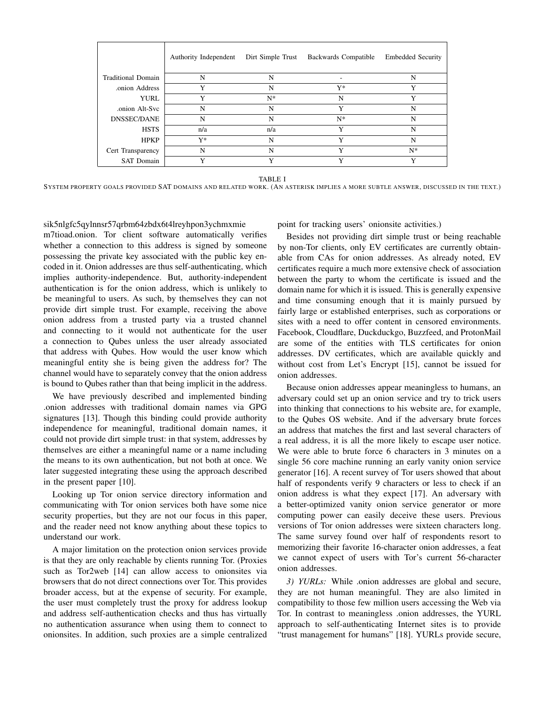|                    | Authority Independent | Dirt Simple Trust | Backwards Compatible | <b>Embedded Security</b> |
|--------------------|-----------------------|-------------------|----------------------|--------------------------|
| Traditional Domain | N                     | N                 |                      | N                        |
| onion Address      | Y                     | N                 | Y*                   | Y                        |
| YURL               | Y                     | $N^*$             | N                    | Y                        |
| onion Alt-Syc.     | N                     | N                 | Y                    | N                        |
| <b>DNSSEC/DANE</b> | N                     | N                 | $N^*$                | N                        |
| <b>HSTS</b>        | n/a                   | n/a               | Y                    | N                        |
| <b>HPKP</b>        | $Y^*$                 | N                 | Y                    | N                        |
| Cert Transparency  | N                     | N                 | Y                    | $N^*$                    |
| <b>SAT Domain</b>  | Y                     | Y                 | Y                    | Y                        |

TABLE I

SYSTEM PROPERTY GOALS PROVIDED SAT DOMAINS AND RELATED WORK. (AN ASTERISK IMPLIES A MORE SUBTLE ANSWER, DISCUSSED IN THE TEXT.)

# sik5nlgfc5qylnnsr57qrbm64zbdx6t4lreyhpon3ychmxmie

m7tioad.onion. Tor client software automatically verifies whether a connection to this address is signed by someone possessing the private key associated with the public key encoded in it. Onion addresses are thus self-authenticating, which implies authority-independence. But, authority-independent authentication is for the onion address, which is unlikely to be meaningful to users. As such, by themselves they can not provide dirt simple trust. For example, receiving the above onion address from a trusted party via a trusted channel and connecting to it would not authenticate for the user a connection to Qubes unless the user already associated that address with Qubes. How would the user know which meaningful entity she is being given the address for? The channel would have to separately convey that the onion address is bound to Qubes rather than that being implicit in the address.

We have previously described and implemented binding .onion addresses with traditional domain names via GPG signatures [13]. Though this binding could provide authority independence for meaningful, traditional domain names, it could not provide dirt simple trust: in that system, addresses by themselves are either a meaningful name or a name including the means to its own authentication, but not both at once. We later suggested integrating these using the approach described in the present paper [10].

Looking up Tor onion service directory information and communicating with Tor onion services both have some nice security properties, but they are not our focus in this paper, and the reader need not know anything about these topics to understand our work.

A major limitation on the protection onion services provide is that they are only reachable by clients running Tor. (Proxies such as Tor2web [14] can allow access to onionsites via browsers that do not direct connections over Tor. This provides broader access, but at the expense of security. For example, the user must completely trust the proxy for address lookup and address self-authentication checks and thus has virtually no authentication assurance when using them to connect to onionsites. In addition, such proxies are a simple centralized

point for tracking users' onionsite activities.)

Besides not providing dirt simple trust or being reachable by non-Tor clients, only EV certificates are currently obtainable from CAs for onion addresses. As already noted, EV certificates require a much more extensive check of association between the party to whom the certificate is issued and the domain name for which it is issued. This is generally expensive and time consuming enough that it is mainly pursued by fairly large or established enterprises, such as corporations or sites with a need to offer content in censored environments. Facebook, Cloudflare, Duckduckgo, Buzzfeed, and ProtonMail are some of the entities with TLS certificates for onion addresses. DV certificates, which are available quickly and without cost from Let's Encrypt [15], cannot be issued for onion addresses.

Because onion addresses appear meaningless to humans, an adversary could set up an onion service and try to trick users into thinking that connections to his website are, for example, to the Qubes OS website. And if the adversary brute forces an address that matches the first and last several characters of a real address, it is all the more likely to escape user notice. We were able to brute force 6 characters in 3 minutes on a single 56 core machine running an early vanity onion service generator [16]. A recent survey of Tor users showed that about half of respondents verify 9 characters or less to check if an onion address is what they expect [17]. An adversary with a better-optimized vanity onion service generator or more computing power can easily deceive these users. Previous versions of Tor onion addresses were sixteen characters long. The same survey found over half of respondents resort to memorizing their favorite 16-character onion addresses, a feat we cannot expect of users with Tor's current 56-character onion addresses.

*3) YURLs:* While .onion addresses are global and secure, they are not human meaningful. They are also limited in compatibility to those few million users accessing the Web via Tor. In contrast to meaningless .onion addresses, the YURL approach to self-authenticating Internet sites is to provide "trust management for humans" [18]. YURLs provide secure,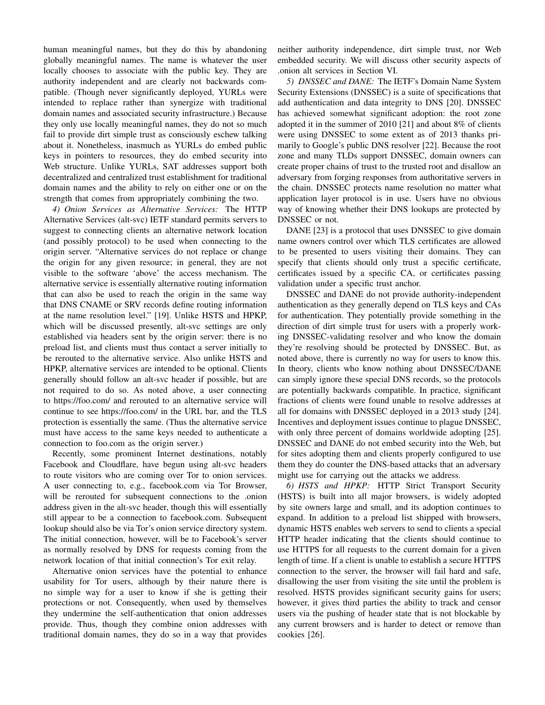human meaningful names, but they do this by abandoning globally meaningful names. The name is whatever the user locally chooses to associate with the public key. They are authority independent and are clearly not backwards compatible. (Though never significantly deployed, YURLs were intended to replace rather than synergize with traditional domain names and associated security infrastructure.) Because they only use locally meaningful names, they do not so much fail to provide dirt simple trust as consciously eschew talking about it. Nonetheless, inasmuch as YURLs do embed public keys in pointers to resources, they do embed security into Web structure. Unlike YURLs, SAT addresses support both decentralized and centralized trust establishment for traditional domain names and the ability to rely on either one or on the strength that comes from appropriately combining the two.

*4) Onion Services as Alternative Services:* The HTTP Alternative Services (alt-svc) IETF standard permits servers to suggest to connecting clients an alternative network location (and possibly protocol) to be used when connecting to the origin server. "Alternative services do not replace or change the origin for any given resource; in general, they are not visible to the software 'above' the access mechanism. The alternative service is essentially alternative routing information that can also be used to reach the origin in the same way that DNS CNAME or SRV records define routing information at the name resolution level." [19]. Unlike HSTS and HPKP, which will be discussed presently, alt-svc settings are only established via headers sent by the origin server: there is no preload list, and clients must thus contact a server initially to be rerouted to the alternative service. Also unlike HSTS and HPKP, alternative services are intended to be optional. Clients generally should follow an alt-svc header if possible, but are not required to do so. As noted above, a user connecting to https://foo.com/ and rerouted to an alternative service will continue to see https://foo.com/ in the URL bar, and the TLS protection is essentially the same. (Thus the alternative service must have access to the same keys needed to authenticate a connection to foo.com as the origin server.)

Recently, some prominent Internet destinations, notably Facebook and Cloudflare, have begun using alt-svc headers to route visitors who are coming over Tor to onion services. A user connecting to, e.g., facebook.com via Tor Browser, will be rerouted for subsequent connections to the .onion address given in the alt-svc header, though this will essentially still appear to be a connection to facebook.com. Subsequent lookup should also be via Tor's onion service directory system. The initial connection, however, will be to Facebook's server as normally resolved by DNS for requests coming from the network location of that initial connection's Tor exit relay.

Alternative onion services have the potential to enhance usability for Tor users, although by their nature there is no simple way for a user to know if she is getting their protections or not. Consequently, when used by themselves they undermine the self-authentication that onion addresses provide. Thus, though they combine onion addresses with traditional domain names, they do so in a way that provides neither authority independence, dirt simple trust, nor Web embedded security. We will discuss other security aspects of .onion alt services in Section VI.

*5) DNSSEC and DANE:* The IETF's Domain Name System Security Extensions (DNSSEC) is a suite of specifications that add authentication and data integrity to DNS [20]. DNSSEC has achieved somewhat significant adoption: the root zone adopted it in the summer of 2010 [21] and about 8% of clients were using DNSSEC to some extent as of 2013 thanks primarily to Google's public DNS resolver [22]. Because the root zone and many TLDs support DNSSEC, domain owners can create proper chains of trust to the trusted root and disallow an adversary from forging responses from authoritative servers in the chain. DNSSEC protects name resolution no matter what application layer protocol is in use. Users have no obvious way of knowing whether their DNS lookups are protected by DNSSEC or not.

DANE [23] is a protocol that uses DNSSEC to give domain name owners control over which TLS certificates are allowed to be presented to users visiting their domains. They can specify that clients should only trust a specific certificate, certificates issued by a specific CA, or certificates passing validation under a specific trust anchor.

DNSSEC and DANE do not provide authority-independent authentication as they generally depend on TLS keys and CAs for authentication. They potentially provide something in the direction of dirt simple trust for users with a properly working DNSSEC-validating resolver and who know the domain they're resolving should be protected by DNSSEC. But, as noted above, there is currently no way for users to know this. In theory, clients who know nothing about DNSSEC/DANE can simply ignore these special DNS records, so the protocols are potentially backwards compatible. In practice, significant fractions of clients were found unable to resolve addresses at all for domains with DNSSEC deployed in a 2013 study [24]. Incentives and deployment issues continue to plague DNSSEC, with only three percent of domains worldwide adopting [25]. DNSSEC and DANE do not embed security into the Web, but for sites adopting them and clients properly configured to use them they do counter the DNS-based attacks that an adversary might use for carrying out the attacks we address.

*6) HSTS and HPKP:* HTTP Strict Transport Security (HSTS) is built into all major browsers, is widely adopted by site owners large and small, and its adoption continues to expand. In addition to a preload list shipped with browsers, dynamic HSTS enables web servers to send to clients a special HTTP header indicating that the clients should continue to use HTTPS for all requests to the current domain for a given length of time. If a client is unable to establish a secure HTTPS connection to the server, the browser will fail hard and safe, disallowing the user from visiting the site until the problem is resolved. HSTS provides significant security gains for users; however, it gives third parties the ability to track and censor users via the pushing of header state that is not blockable by any current browsers and is harder to detect or remove than cookies [26].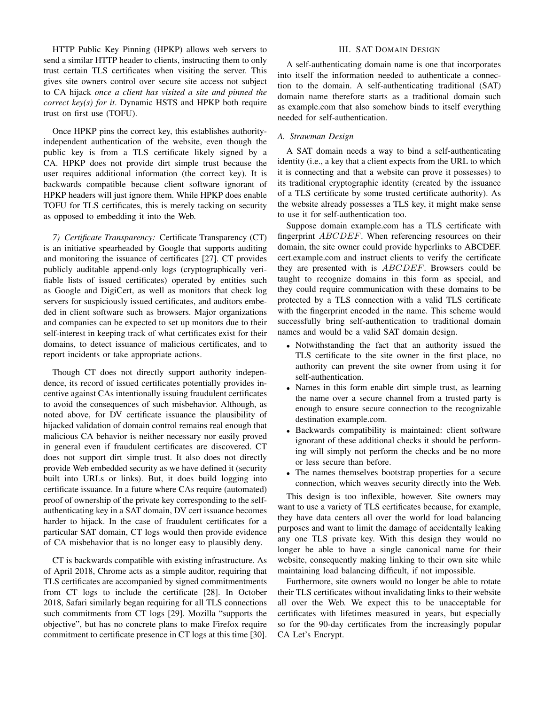HTTP Public Key Pinning (HPKP) allows web servers to send a similar HTTP header to clients, instructing them to only trust certain TLS certificates when visiting the server. This gives site owners control over secure site access not subject to CA hijack *once a client has visited a site and pinned the correct key(s) for it*. Dynamic HSTS and HPKP both require trust on first use (TOFU).

Once HPKP pins the correct key, this establishes authorityindependent authentication of the website, even though the public key is from a TLS certificate likely signed by a CA. HPKP does not provide dirt simple trust because the user requires additional information (the correct key). It is backwards compatible because client software ignorant of HPKP headers will just ignore them. While HPKP does enable TOFU for TLS certificates, this is merely tacking on security as opposed to embedding it into the Web.

*7) Certificate Transparency:* Certificate Transparency (CT) is an initiative spearheaded by Google that supports auditing and monitoring the issuance of certificates [27]. CT provides publicly auditable append-only logs (cryptographically verifiable lists of issued certificates) operated by entities such as Google and DigiCert, as well as monitors that check log servers for suspiciously issued certificates, and auditors embeded in client software such as browsers. Major organizations and companies can be expected to set up monitors due to their self-interest in keeping track of what certificates exist for their domains, to detect issuance of malicious certificates, and to report incidents or take appropriate actions.

Though CT does not directly support authority independence, its record of issued certificates potentially provides incentive against CAs intentionally issuing fraudulent certificates to avoid the consequences of such misbehavior. Although, as noted above, for DV certificate issuance the plausibility of hijacked validation of domain control remains real enough that malicious CA behavior is neither necessary nor easily proved in general even if fraudulent certificates are discovered. CT does not support dirt simple trust. It also does not directly provide Web embedded security as we have defined it (security built into URLs or links). But, it does build logging into certificate issuance. In a future where CAs require (automated) proof of ownership of the private key corresponding to the selfauthenticating key in a SAT domain, DV cert issuance becomes harder to hijack. In the case of fraudulent certificates for a particular SAT domain, CT logs would then provide evidence of CA misbehavior that is no longer easy to plausibly deny.

CT is backwards compatible with existing infrastructure. As of April 2018, Chrome acts as a simple auditor, requiring that TLS certificates are accompanied by signed commitmentments from CT logs to include the certificate [28]. In October 2018, Safari similarly began requiring for all TLS connections such commitments from CT logs [29]. Mozilla "supports the objective", but has no concrete plans to make Firefox require commitment to certificate presence in CT logs at this time [30].

# III. SAT DOMAIN DESIGN

A self-authenticating domain name is one that incorporates into itself the information needed to authenticate a connection to the domain. A self-authenticating traditional (SAT) domain name therefore starts as a traditional domain such as example.com that also somehow binds to itself everything needed for self-authentication.

# *A. Strawman Design*

A SAT domain needs a way to bind a self-authenticating identity (i.e., a key that a client expects from the URL to which it is connecting and that a website can prove it possesses) to its traditional cryptographic identity (created by the issuance of a TLS certificate by some trusted certificate authority). As the website already possesses a TLS key, it might make sense to use it for self-authentication too.

Suppose domain example.com has a TLS certificate with fingerprint ABCDEF. When referencing resources on their domain, the site owner could provide hyperlinks to ABCDEF. cert.example.com and instruct clients to verify the certificate they are presented with is ABCDEF. Browsers could be taught to recognize domains in this form as special, and they could require communication with these domains to be protected by a TLS connection with a valid TLS certificate with the fingerprint encoded in the name. This scheme would successfully bring self-authentication to traditional domain names and would be a valid SAT domain design.

- Notwithstanding the fact that an authority issued the TLS certificate to the site owner in the first place, no authority can prevent the site owner from using it for self-authentication.
- Names in this form enable dirt simple trust, as learning the name over a secure channel from a trusted party is enough to ensure secure connection to the recognizable destination example.com.
- Backwards compatibility is maintained: client software ignorant of these additional checks it should be performing will simply not perform the checks and be no more or less secure than before.
- The names themselves bootstrap properties for a secure connection, which weaves security directly into the Web.

This design is too inflexible, however. Site owners may want to use a variety of TLS certificates because, for example, they have data centers all over the world for load balancing purposes and want to limit the damage of accidentally leaking any one TLS private key. With this design they would no longer be able to have a single canonical name for their website, consequently making linking to their own site while maintaining load balancing difficult, if not impossible.

Furthermore, site owners would no longer be able to rotate their TLS certificates without invalidating links to their website all over the Web. We expect this to be unacceptable for certificates with lifetimes measured in years, but especially so for the 90-day certificates from the increasingly popular CA Let's Encrypt.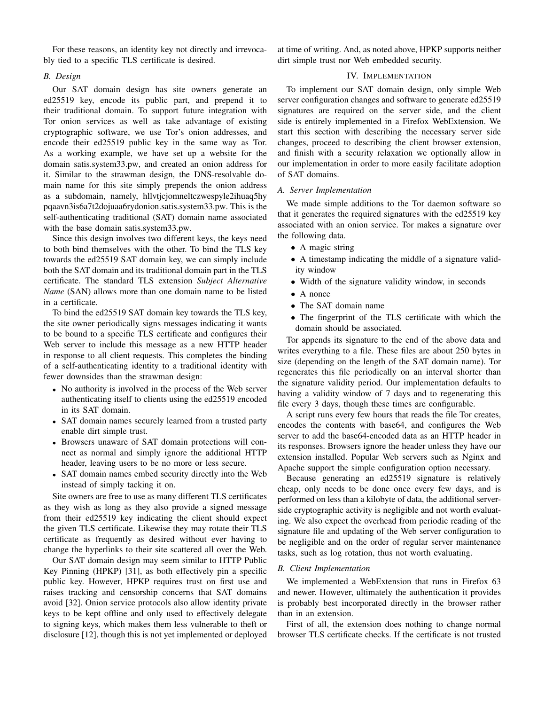For these reasons, an identity key not directly and irrevocably tied to a specific TLS certificate is desired.

# *B. Design*

Our SAT domain design has site owners generate an ed25519 key, encode its public part, and prepend it to their traditional domain. To support future integration with Tor onion services as well as take advantage of existing cryptographic software, we use Tor's onion addresses, and encode their ed25519 public key in the same way as Tor. As a working example, we have set up a website for the domain satis.system33.pw, and created an onion address for it. Similar to the strawman design, the DNS-resolvable domain name for this site simply prepends the onion address as a subdomain, namely, hllvtjcjomneltczwespyle2ihuaq5hy pqaavn3is6a7t2dojuaa6rydonion.satis.system33.pw. This is the self-authenticating traditional (SAT) domain name associated with the base domain satis.system33.pw.

Since this design involves two different keys, the keys need to both bind themselves with the other. To bind the TLS key towards the ed25519 SAT domain key, we can simply include both the SAT domain and its traditional domain part in the TLS certificate. The standard TLS extension *Subject Alternative Name* (SAN) allows more than one domain name to be listed in a certificate.

To bind the ed25519 SAT domain key towards the TLS key, the site owner periodically signs messages indicating it wants to be bound to a specific TLS certificate and configures their Web server to include this message as a new HTTP header in response to all client requests. This completes the binding of a self-authenticating identity to a traditional identity with fewer downsides than the strawman design:

- No authority is involved in the process of the Web server authenticating itself to clients using the ed25519 encoded in its SAT domain.
- SAT domain names securely learned from a trusted party enable dirt simple trust.
- Browsers unaware of SAT domain protections will connect as normal and simply ignore the additional HTTP header, leaving users to be no more or less secure.
- SAT domain names embed security directly into the Web instead of simply tacking it on.

Site owners are free to use as many different TLS certificates as they wish as long as they also provide a signed message from their ed25519 key indicating the client should expect the given TLS certificate. Likewise they may rotate their TLS certificate as frequently as desired without ever having to change the hyperlinks to their site scattered all over the Web.

Our SAT domain design may seem similar to HTTP Public Key Pinning (HPKP) [31], as both effectively pin a specific public key. However, HPKP requires trust on first use and raises tracking and censorship concerns that SAT domains avoid [32]. Onion service protocols also allow identity private keys to be kept offline and only used to effectively delegate to signing keys, which makes them less vulnerable to theft or disclosure [12], though this is not yet implemented or deployed at time of writing. And, as noted above, HPKP supports neither dirt simple trust nor Web embedded security.

## IV. IMPLEMENTATION

To implement our SAT domain design, only simple Web server configuration changes and software to generate ed25519 signatures are required on the server side, and the client side is entirely implemented in a Firefox WebExtension. We start this section with describing the necessary server side changes, proceed to describing the client browser extension, and finish with a security relaxation we optionally allow in our implementation in order to more easily facilitate adoption of SAT domains.

# *A. Server Implementation*

We made simple additions to the Tor daemon software so that it generates the required signatures with the ed25519 key associated with an onion service. Tor makes a signature over the following data.

- A magic string
- A timestamp indicating the middle of a signature validity window
- Width of the signature validity window, in seconds
- A nonce
- The SAT domain name
- The fingerprint of the TLS certificate with which the domain should be associated.

Tor appends its signature to the end of the above data and writes everything to a file. These files are about 250 bytes in size (depending on the length of the SAT domain name). Tor regenerates this file periodically on an interval shorter than the signature validity period. Our implementation defaults to having a validity window of 7 days and to regenerating this file every 3 days, though these times are configurable.

A script runs every few hours that reads the file Tor creates, encodes the contents with base64, and configures the Web server to add the base64-encoded data as an HTTP header in its responses. Browsers ignore the header unless they have our extension installed. Popular Web servers such as Nginx and Apache support the simple configuration option necessary.

Because generating an ed25519 signature is relatively cheap, only needs to be done once every few days, and is performed on less than a kilobyte of data, the additional serverside cryptographic activity is negligible and not worth evaluating. We also expect the overhead from periodic reading of the signature file and updating of the Web server configuration to be negligible and on the order of regular server maintenance tasks, such as log rotation, thus not worth evaluating.

# *B. Client Implementation*

We implemented a WebExtension that runs in Firefox 63 and newer. However, ultimately the authentication it provides is probably best incorporated directly in the browser rather than in an extension.

First of all, the extension does nothing to change normal browser TLS certificate checks. If the certificate is not trusted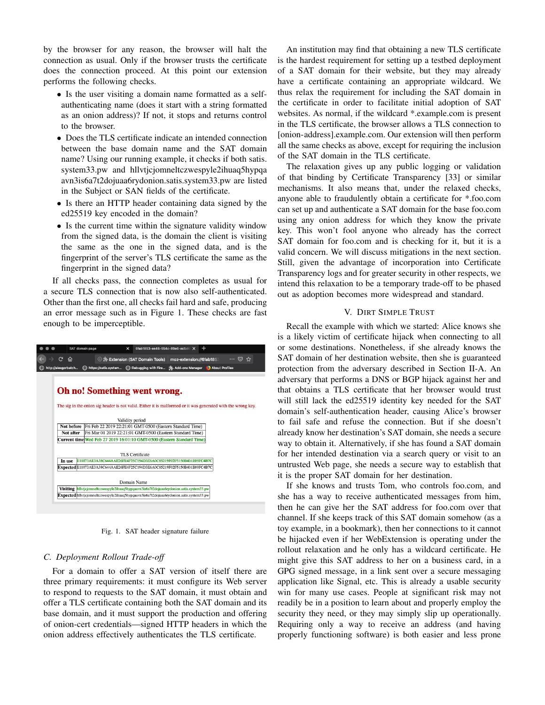by the browser for any reason, the browser will halt the connection as usual. Only if the browser trusts the certificate does the connection proceed. At this point our extension performs the following checks.

- Is the user visiting a domain name formatted as a selfauthenticating name (does it start with a string formatted as an onion address)? If not, it stops and returns control to the browser.
- Does the TLS certificate indicate an intended connection between the base domain name and the SAT domain name? Using our running example, it checks if both satis. system33.pw and hllvtjcjomneltczwespyle2ihuaq5hypqa avn3is6a7t2dojuaa6rydonion.satis.system33.pw are listed in the Subject or SAN fields of the certificate.
- Is there an HTTP header containing data signed by the ed25519 key encoded in the domain?
- Is the current time within the signature validity window from the signed data, is the domain the client is visiting the same as the one in the signed data, and is the fingerprint of the server's TLS certificate the same as the fingerprint in the signed data?

If all checks pass, the connection completes as usual for a secure TLS connection that is now also self-authenticated. Other than the first one, all checks fail hard and safe, producing an error message such as in Figure 1. These checks are fast enough to be imperceptible.



Fig. 1. SAT header signature failure

# *C. Deployment Rollout Trade-off*

For a domain to offer a SAT version of itself there are three primary requirements: it must configure its Web server to respond to requests to the SAT domain, it must obtain and offer a TLS certificate containing both the SAT domain and its base domain, and it must support the production and offering of onion-cert credentials—signed HTTP headers in which the onion address effectively authenticates the TLS certificate.

An institution may find that obtaining a new TLS certificate is the hardest requirement for setting up a testbed deployment of a SAT domain for their website, but they may already have a certificate containing an appropriate wildcard. We thus relax the requirement for including the SAT domain in the certificate in order to facilitate initial adoption of SAT websites. As normal, if the wildcard \*.example.com is present in the TLS certificate, the browser allows a TLS connection to [onion-address].example.com. Our extension will then perform all the same checks as above, except for requiring the inclusion of the SAT domain in the TLS certificate.

The relaxation gives up any public logging or validation of that binding by Certificate Transparency [33] or similar mechanisms. It also means that, under the relaxed checks, anyone able to fraudulently obtain a certificate for \*.foo.com can set up and authenticate a SAT domain for the base foo.com using any onion address for which they know the private key. This won't fool anyone who already has the correct SAT domain for foo.com and is checking for it, but it is a valid concern. We will discuss mitigations in the next section. Still, given the advantage of incorporation into Certificate Transparency logs and for greater security in other respects, we intend this relaxation to be a temporary trade-off to be phased out as adoption becomes more widespread and standard.

# V. DIRT SIMPLE TRUST

Recall the example with which we started: Alice knows she is a likely victim of certificate hijack when connecting to all or some destinations. Nonetheless, if she already knows the SAT domain of her destination website, then she is guaranteed protection from the adversary described in Section II-A. An adversary that performs a DNS or BGP hijack against her and that obtains a TLS certificate that her browser would trust will still lack the ed25519 identity key needed for the SAT domain's self-authentication header, causing Alice's browser to fail safe and refuse the connection. But if she doesn't already know her destination's SAT domain, she needs a secure way to obtain it. Alternatively, if she has found a SAT domain for her intended destination via a search query or visit to an untrusted Web page, she needs a secure way to establish that it is the proper SAT domain for her destination.

If she knows and trusts Tom, who controls foo.com, and she has a way to receive authenticated messages from him, then he can give her the SAT address for foo.com over that channel. If she keeps track of this SAT domain somehow (as a toy example, in a bookmark), then her connections to it cannot be hijacked even if her WebExtension is operating under the rollout relaxation and he only has a wildcard certificate. He might give this SAT address to her on a business card, in a GPG signed message, in a link sent over a secure messaging application like Signal, etc. This is already a usable security win for many use cases. People at significant risk may not readily be in a position to learn about and properly employ the security they need, or they may simply slip up operationally. Requiring only a way to receive an address (and having properly functioning software) is both easier and less prone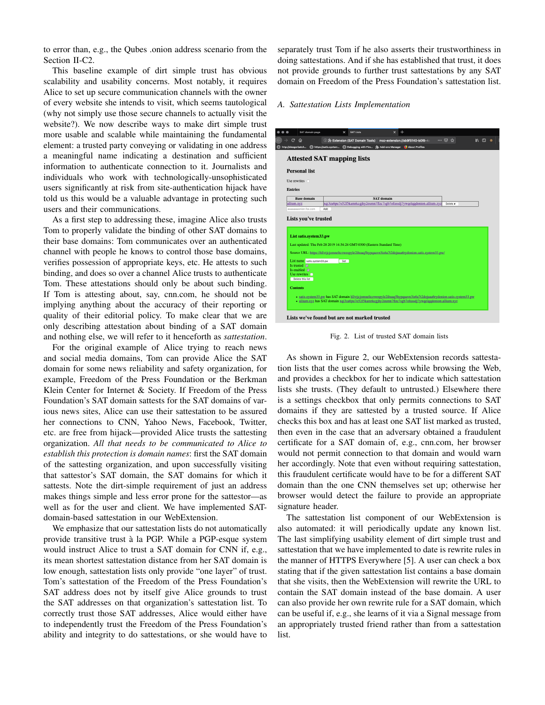to error than, e.g., the Qubes .onion address scenario from the Section II-C2.

This baseline example of dirt simple trust has obvious scalability and usability concerns. Most notably, it requires Alice to set up secure communication channels with the owner of every website she intends to visit, which seems tautological (why not simply use those secure channels to actually visit the website?). We now describe ways to make dirt simple trust more usable and scalable while maintaining the fundamental element: a trusted party conveying or validating in one address a meaningful name indicating a destination and sufficient information to authenticate connection to it. Journalists and individuals who work with technologically-unsophisticated users significantly at risk from site-authentication hijack have told us this would be a valuable advantage in protecting such users and their communications.

As a first step to addressing these, imagine Alice also trusts Tom to properly validate the binding of other SAT domains to their base domains: Tom communicates over an authenticated channel with people he knows to control those base domains, verifies possession of appropriate keys, etc. He attests to such binding, and does so over a channel Alice trusts to authenticate Tom. These attestations should only be about such binding. If Tom is attesting about, say, cnn.com, he should not be implying anything about the accuracy of their reporting or quality of their editorial policy. To make clear that we are only describing attestation about binding of a SAT domain and nothing else, we will refer to it henceforth as *sattestation*.

For the original example of Alice trying to reach news and social media domains, Tom can provide Alice the SAT domain for some news reliability and safety organization, for example, Freedom of the Press Foundation or the Berkman Klein Center for Internet & Society. If Freedom of the Press Foundation's SAT domain sattests for the SAT domains of various news sites, Alice can use their sattestation to be assured her connections to CNN, Yahoo News, Facebook, Twitter, etc. are free from hijack—provided Alice trusts the sattesting organization. *All that needs to be communicated to Alice to establish this protection is domain names*: first the SAT domain of the sattesting organization, and upon successfully visiting that sattestor's SAT domain, the SAT domains for which it sattests. Note the dirt-simple requirement of just an address makes things simple and less error prone for the sattestor—as well as for the user and client. We have implemented SATdomain-based sattestation in our WebExtension.

We emphasize that our sattestation lists do not automatically provide transitive trust à la PGP. While a PGP-esque system would instruct Alice to trust a SAT domain for CNN if, e.g., its mean shortest sattestation distance from her SAT domain is low enough, sattestation lists only provide "one layer" of trust. Tom's sattestation of the Freedom of the Press Foundation's SAT address does not by itself give Alice grounds to trust the SAT addresses on that organization's sattestation list. To correctly trust those SAT addresses, Alice would either have to independently trust the Freedom of the Press Foundation's ability and integrity to do sattestations, or she would have to separately trust Tom if he also asserts their trustworthiness in doing sattestations. And if she has established that trust, it does not provide grounds to further trust sattestations by any SAT domain on Freedom of the Press Foundation's sattestation list.

## *A. Sattestation Lists Implementation*

| <b>Personal list</b><br>Use rewrites<br><b>Base domain</b> | D : Extension (SAT Domain Tools)<br>http://alexgorbatch ( https://satis.system ( Debugging with Fire [ J - Add-ons Manager ( ) About Profiles<br><b>Attested SAT mapping lists</b> | moz-extension://ab9f5140-b0f8-4 |                                                                                                                    | … ☺ ☆                                                                                                |                                                                                                      | <b>III</b> 11 6 |  |
|------------------------------------------------------------|------------------------------------------------------------------------------------------------------------------------------------------------------------------------------------|---------------------------------|--------------------------------------------------------------------------------------------------------------------|------------------------------------------------------------------------------------------------------|------------------------------------------------------------------------------------------------------|-----------------|--|
|                                                            |                                                                                                                                                                                    |                                 |                                                                                                                    |                                                                                                      |                                                                                                      |                 |  |
|                                                            |                                                                                                                                                                                    |                                 |                                                                                                                    |                                                                                                      |                                                                                                      |                 |  |
|                                                            |                                                                                                                                                                                    |                                 |                                                                                                                    |                                                                                                      |                                                                                                      |                 |  |
|                                                            |                                                                                                                                                                                    |                                 |                                                                                                                    |                                                                                                      |                                                                                                      |                 |  |
|                                                            |                                                                                                                                                                                    |                                 |                                                                                                                    |                                                                                                      |                                                                                                      |                 |  |
|                                                            |                                                                                                                                                                                    |                                 |                                                                                                                    |                                                                                                      |                                                                                                      |                 |  |
|                                                            |                                                                                                                                                                                    | <b>SAT</b> domain               |                                                                                                                    |                                                                                                      |                                                                                                      |                 |  |
|                                                            | xqi3za6pu7o52f5kamrkcgjhy2eumn7flzc7sgb7ofussdj7ywqelqqdonion.allium.xyz                                                                                                           |                                 |                                                                                                                    | Delete x                                                                                             |                                                                                                      |                 |  |
| aaaaaaaaonion.foo.com<br>Add                               |                                                                                                                                                                                    |                                 |                                                                                                                    |                                                                                                      |                                                                                                      |                 |  |
|                                                            |                                                                                                                                                                                    |                                 |                                                                                                                    |                                                                                                      |                                                                                                      |                 |  |
|                                                            |                                                                                                                                                                                    |                                 |                                                                                                                    |                                                                                                      |                                                                                                      |                 |  |
|                                                            |                                                                                                                                                                                    |                                 |                                                                                                                    |                                                                                                      |                                                                                                      |                 |  |
|                                                            | Set                                                                                                                                                                                |                                 |                                                                                                                    |                                                                                                      |                                                                                                      |                 |  |
|                                                            |                                                                                                                                                                                    |                                 |                                                                                                                    |                                                                                                      |                                                                                                      |                 |  |
|                                                            |                                                                                                                                                                                    |                                 |                                                                                                                    |                                                                                                      |                                                                                                      |                 |  |
|                                                            |                                                                                                                                                                                    |                                 |                                                                                                                    |                                                                                                      |                                                                                                      |                 |  |
|                                                            |                                                                                                                                                                                    |                                 |                                                                                                                    |                                                                                                      |                                                                                                      |                 |  |
|                                                            |                                                                                                                                                                                    |                                 | · satis.system33.pw has SAT domain hllvticjomneltczwespyle2ihuaq5hypqaavn3is6a7t2dojuaa6rydonion.satis.system33.pw | - allium.xvz has SAT domain xqi3za6pu7o52f5kamrkcgihy2eumn7flzc7sgb7ofussdj7ywqelqqdonion.allium.xvz |                                                                                                      |                 |  |
|                                                            | Lists you've trusted<br>List satis.system33.pw<br>List name satis.system33.pw<br>Is trusted a<br>Is enabled $\Box$<br>Use rewrites $\Box$<br>Delete this list                      |                                 | Last updated: Thu Feb 28 2019 14:54:24 GMT-0500 (Eastern Standard Time)                                            |                                                                                                      | Source URL: https://hllvtjcjomneltczwespyle2ihuaq5hypqaavn3is6a7t2dojuaa6rydonion.satis.system33.pw/ |                 |  |

Fig. 2. List of trusted SAT domain lists

As shown in Figure 2, our WebExtension records sattestation lists that the user comes across while browsing the Web, and provides a checkbox for her to indicate which sattestation lists she trusts. (They default to untrusted.) Elsewhere there is a settings checkbox that only permits connections to SAT domains if they are sattested by a trusted source. If Alice checks this box and has at least one SAT list marked as trusted, then even in the case that an adversary obtained a fraudulent certificate for a SAT domain of, e.g., cnn.com, her browser would not permit connection to that domain and would warn her accordingly. Note that even without requiring sattestation, this fraudulent certificate would have to be for a different SAT domain than the one CNN themselves set up; otherwise her browser would detect the failure to provide an appropriate signature header.

The sattestation list component of our WebExtension is also automated: it will periodically update any known list. The last simplifying usability element of dirt simple trust and sattestation that we have implemented to date is rewrite rules in the manner of HTTPS Everywhere [5]. A user can check a box stating that if the given sattestation list contains a base domain that she visits, then the WebExtension will rewrite the URL to contain the SAT domain instead of the base domain. A user can also provide her own rewrite rule for a SAT domain, which can be useful if, e.g., she learns of it via a Signal message from an appropriately trusted friend rather than from a sattestation list.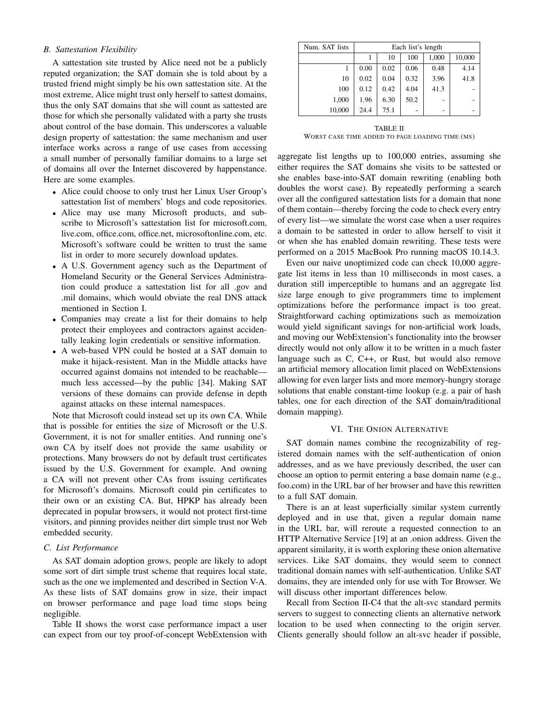# *B. Sattestation Flexibility*

A sattestation site trusted by Alice need not be a publicly reputed organization; the SAT domain she is told about by a trusted friend might simply be his own sattestation site. At the most extreme, Alice might trust only herself to sattest domains, thus the only SAT domains that she will count as sattested are those for which she personally validated with a party she trusts about control of the base domain. This underscores a valuable design property of sattestation: the same mechanism and user interface works across a range of use cases from accessing a small number of personally familiar domains to a large set of domains all over the Internet discovered by happenstance. Here are some examples.

- Alice could choose to only trust her Linux User Group's sattestation list of members' blogs and code repositories.
- Alice may use many Microsoft products, and subscribe to Microsoft's sattestation list for microsoft.com, live.com, office.com, office.net, microsoftonline.com, etc. Microsoft's software could be written to trust the same list in order to more securely download updates.
- A U.S. Government agency such as the Department of Homeland Security or the General Services Administration could produce a sattestation list for all .gov and .mil domains, which would obviate the real DNS attack mentioned in Section I.
- Companies may create a list for their domains to help protect their employees and contractors against accidentally leaking login credentials or sensitive information.
- A web-based VPN could be hosted at a SAT domain to make it hijack-resistent. Man in the Middle attacks have occurred against domains not intended to be reachable much less accessed—by the public [34]. Making SAT versions of these domains can provide defense in depth against attacks on these internal namespaces.

Note that Microsoft could instead set up its own CA. While that is possible for entities the size of Microsoft or the U.S. Government, it is not for smaller entities. And running one's own CA by itself does not provide the same usability or protections. Many browsers do not by default trust certificates issued by the U.S. Government for example. And owning a CA will not prevent other CAs from issuing certificates for Microsoft's domains. Microsoft could pin certificates to their own or an existing CA. But, HPKP has already been deprecated in popular browsers, it would not protect first-time visitors, and pinning provides neither dirt simple trust nor Web embedded security.

# *C. List Performance*

As SAT domain adoption grows, people are likely to adopt some sort of dirt simple trust scheme that requires local state, such as the one we implemented and described in Section V-A. As these lists of SAT domains grow in size, their impact on browser performance and page load time stops being negligible.

Table II shows the worst case performance impact a user can expect from our toy proof-of-concept WebExtension with

| Num. SAT lists |      |      | Each list's length |       |        |
|----------------|------|------|--------------------|-------|--------|
|                |      | 10   | 100                | 1,000 | 10,000 |
|                | 0.00 | 0.02 | 0.06               | 0.48  | 4.14   |
| 10             | 0.02 | 0.04 | 0.32               | 3.96  | 41.8   |
| 100            | 0.12 | 0.42 | 4.04               | 41.3  |        |
| 1,000          | 1.96 | 6.30 | 50.2               |       |        |
| 10,000         | 24.4 | 75.1 |                    |       |        |

TABLE II WORST CASE TIME ADDED TO PAGE LOADING TIME (MS)

aggregate list lengths up to 100,000 entries, assuming she either requires the SAT domains she visits to be sattested or she enables base-into-SAT domain rewriting (enabling both doubles the worst case). By repeatedly performing a search over all the configured sattestation lists for a domain that none of them contain—thereby forcing the code to check every entry of every list—we simulate the worst case when a user requires a domain to be sattested in order to allow herself to visit it or when she has enabled domain rewriting. These tests were performed on a 2015 MacBook Pro running macOS 10.14.3.

Even our naive unoptimized code can check 10,000 aggregate list items in less than 10 milliseconds in most cases, a duration still imperceptible to humans and an aggregate list size large enough to give programmers time to implement optimizations before the performance impact is too great. Straightforward caching optimizations such as memoization would yield significant savings for non-artificial work loads, and moving our WebExtension's functionality into the browser directly would not only allow it to be written in a much faster language such as C, C++, or Rust, but would also remove an artificial memory allocation limit placed on WebExtensions allowing for even larger lists and more memory-hungry storage solutions that enable constant-time lookup (e.g. a pair of hash tables, one for each direction of the SAT domain/traditional domain mapping).

## VI. THE ONION ALTERNATIVE

SAT domain names combine the recognizability of registered domain names with the self-authentication of onion addresses, and as we have previously described, the user can choose an option to permit entering a base domain name (e.g., foo.com) in the URL bar of her browser and have this rewritten to a full SAT domain.

There is an at least superficially similar system currently deployed and in use that, given a regular domain name in the URL bar, will reroute a requested connection to an HTTP Alternative Service [19] at an .onion address. Given the apparent similarity, it is worth exploring these onion alternative services. Like SAT domains, they would seem to connect traditional domain names with self-authentication. Unlike SAT domains, they are intended only for use with Tor Browser. We will discuss other important differences below.

Recall from Section II-C4 that the alt-svc standard permits servers to suggest to connecting clients an alternative network location to be used when connecting to the origin server. Clients generally should follow an alt-svc header if possible,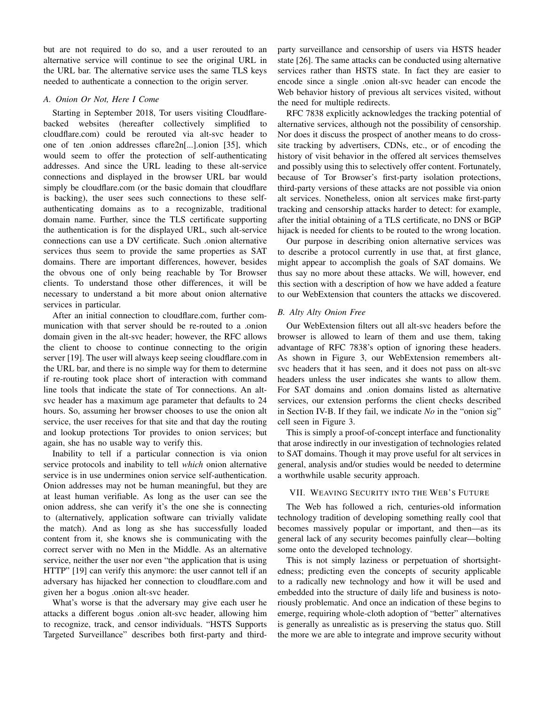but are not required to do so, and a user rerouted to an alternative service will continue to see the original URL in the URL bar. The alternative service uses the same TLS keys needed to authenticate a connection to the origin server.

# *A. Onion Or Not, Here I Come*

Starting in September 2018, Tor users visiting Cloudflarebacked websites (hereafter collectively simplified to cloudflare.com) could be rerouted via alt-svc header to one of ten .onion addresses cflare2n[...].onion [35], which would seem to offer the protection of self-authenticating addresses. And since the URL leading to these alt-service connections and displayed in the browser URL bar would simply be cloudflare.com (or the basic domain that cloudflare is backing), the user sees such connections to these selfauthenticating domains as to a recognizable, traditional domain name. Further, since the TLS certificate supporting the authentication is for the displayed URL, such alt-service connections can use a DV certificate. Such .onion alternative services thus seem to provide the same properties as SAT domains. There are important differences, however, besides the obvous one of only being reachable by Tor Browser clients. To understand those other differences, it will be necessary to understand a bit more about onion alternative services in particular.

After an initial connection to cloudflare.com, further communication with that server should be re-routed to a .onion domain given in the alt-svc header; however, the RFC allows the client to choose to continue connecting to the origin server [19]. The user will always keep seeing cloudflare.com in the URL bar, and there is no simple way for them to determine if re-routing took place short of interaction with command line tools that indicate the state of Tor connections. An altsvc header has a maximum age parameter that defaults to 24 hours. So, assuming her browser chooses to use the onion alt service, the user receives for that site and that day the routing and lookup protections Tor provides to onion services; but again, she has no usable way to verify this.

Inability to tell if a particular connection is via onion service protocols and inability to tell *which* onion alternative service is in use undermines onion service self-authentication. Onion addresses may not be human meaningful, but they are at least human verifiable. As long as the user can see the onion address, she can verify it's the one she is connecting to (alternatively, application software can trivially validate the match). And as long as she has successfully loaded content from it, she knows she is communicating with the correct server with no Men in the Middle. As an alternative service, neither the user nor even "the application that is using HTTP" [19] can verify this anymore: the user cannot tell if an adversary has hijacked her connection to cloudflare.com and given her a bogus .onion alt-svc header.

What's worse is that the adversary may give each user he attacks a different bogus .onion alt-svc header, allowing him to recognize, track, and censor individuals. "HSTS Supports Targeted Surveillance" describes both first-party and thirdparty surveillance and censorship of users via HSTS header state [26]. The same attacks can be conducted using alternative services rather than HSTS state. In fact they are easier to encode since a single .onion alt-svc header can encode the Web behavior history of previous alt services visited, without the need for multiple redirects.

RFC 7838 explicitly acknowledges the tracking potential of alternative services, although not the possibility of censorship. Nor does it discuss the prospect of another means to do crosssite tracking by advertisers, CDNs, etc., or of encoding the history of visit behavior in the offered alt services themselves and possibly using this to selectively offer content. Fortunately, because of Tor Browser's first-party isolation protections, third-party versions of these attacks are not possible via onion alt services. Nonetheless, onion alt services make first-party tracking and censorship attacks harder to detect: for example, after the initial obtaining of a TLS certificate, no DNS or BGP hijack is needed for clients to be routed to the wrong location.

Our purpose in describing onion alternative services was to describe a protocol currently in use that, at first glance, might appear to accomplish the goals of SAT domains. We thus say no more about these attacks. We will, however, end this section with a description of how we have added a feature to our WebExtension that counters the attacks we discovered.

# *B. Alty Alty Onion Free*

Our WebExtension filters out all alt-svc headers before the browser is allowed to learn of them and use them, taking advantage of RFC 7838's option of ignoring these headers. As shown in Figure 3, our WebExtension remembers altsvc headers that it has seen, and it does not pass on alt-svc headers unless the user indicates she wants to allow them. For SAT domains and .onion domains listed as alternative services, our extension performs the client checks described in Section IV-B. If they fail, we indicate *No* in the "onion sig" cell seen in Figure 3.

This is simply a proof-of-concept interface and functionality that arose indirectly in our investigation of technologies related to SAT domains. Though it may prove useful for alt services in general, analysis and/or studies would be needed to determine a worthwhile usable security approach.

# VII. WEAVING SECURITY INTO THE WEB'S FUTURE

The Web has followed a rich, centuries-old information technology tradition of developing something really cool that becomes massively popular or important, and then—as its general lack of any security becomes painfully clear—bolting some onto the developed technology.

This is not simply laziness or perpetuation of shortsightedness; predicting even the concepts of security applicable to a radically new technology and how it will be used and embedded into the structure of daily life and business is notoriously problematic. And once an indication of these begins to emerge, requiring whole-cloth adoption of "better" alternatives is generally as unrealistic as is preserving the status quo. Still the more we are able to integrate and improve security without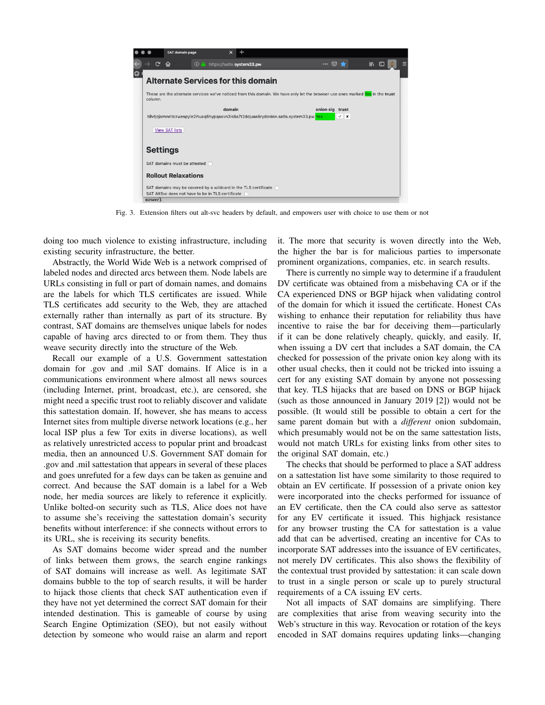|            |                                                                                                                                           |                 |   | SAT domain page                                   |  |  | $\times$ |                                    |                                                                 |  |  |         |  |              |   |  |
|------------|-------------------------------------------------------------------------------------------------------------------------------------------|-----------------|---|---------------------------------------------------|--|--|----------|------------------------------------|-----------------------------------------------------------------|--|--|---------|--|--------------|---|--|
|            |                                                                                                                                           | G               | ⋒ |                                                   |  |  |          | <b>D</b> https://satis.system33.pw |                                                                 |  |  | …   ∞ ★ |  | $\mathbb{I}$ | ⊡ |  |
| $\bigcirc$ |                                                                                                                                           |                 |   |                                                   |  |  |          |                                    | <b>Alternate Services for this domain</b>                       |  |  |         |  |              |   |  |
|            | These are the alternate services we've noticed from this domain. We have only let the browser use ones marked Yes in the trust<br>column. |                 |   |                                                   |  |  |          |                                    |                                                                 |  |  |         |  |              |   |  |
|            | domain<br>onion sig trust<br>$\vee$ x<br>hllvtjcjomneltczwespyle2ihuaq5hypqaavn3is6a7t2dojuaa6rydonion.satis.system33.pw Yes              |                 |   |                                                   |  |  |          |                                    |                                                                 |  |  |         |  |              |   |  |
|            |                                                                                                                                           |                 |   | <b>View SAT lists</b>                             |  |  |          |                                    |                                                                 |  |  |         |  |              |   |  |
|            |                                                                                                                                           | <b>Settings</b> |   |                                                   |  |  |          |                                    |                                                                 |  |  |         |  |              |   |  |
|            |                                                                                                                                           |                 |   | SAT domains must be attested                      |  |  |          |                                    |                                                                 |  |  |         |  |              |   |  |
|            |                                                                                                                                           |                 |   | <b>Rollout Relaxations</b>                        |  |  |          |                                    |                                                                 |  |  |         |  |              |   |  |
|            |                                                                                                                                           |                 |   |                                                   |  |  |          |                                    | SAT domains may be covered by a wildcard in the TLS certificate |  |  |         |  |              |   |  |
|            |                                                                                                                                           |                 |   | SAT AltSyc does not have to be in TLS certificate |  |  |          |                                    |                                                                 |  |  |         |  |              |   |  |
|            |                                                                                                                                           | newer).         |   |                                                   |  |  |          |                                    |                                                                 |  |  |         |  |              |   |  |

Fig. 3. Extension filters out alt-svc headers by default, and empowers user with choice to use them or not

doing too much violence to existing infrastructure, including existing security infrastructure, the better.

Abstractly, the World Wide Web is a network comprised of labeled nodes and directed arcs between them. Node labels are URLs consisting in full or part of domain names, and domains are the labels for which TLS certificates are issued. While TLS certificates add security to the Web, they are attached externally rather than internally as part of its structure. By contrast, SAT domains are themselves unique labels for nodes capable of having arcs directed to or from them. They thus weave security directly into the structure of the Web.

Recall our example of a U.S. Government sattestation domain for .gov and .mil SAT domains. If Alice is in a communications environment where almost all news sources (including Internet, print, broadcast, etc.), are censored, she might need a specific trust root to reliably discover and validate this sattestation domain. If, however, she has means to access Internet sites from multiple diverse network locations (e.g., her local ISP plus a few Tor exits in diverse locations), as well as relatively unrestricted access to popular print and broadcast media, then an announced U.S. Government SAT domain for .gov and .mil sattestation that appears in several of these places and goes unrefuted for a few days can be taken as genuine and correct. And because the SAT domain is a label for a Web node, her media sources are likely to reference it explicitly. Unlike bolted-on security such as TLS, Alice does not have to assume she's receiving the sattestation domain's security benefits without interference: if she connects without errors to its URL, she is receiving its security benefits.

As SAT domains become wider spread and the number of links between them grows, the search engine rankings of SAT domains will increase as well. As legitimate SAT domains bubble to the top of search results, it will be harder to hijack those clients that check SAT authentication even if they have not yet determined the correct SAT domain for their intended destination. This is gameable of course by using Search Engine Optimization (SEO), but not easily without detection by someone who would raise an alarm and report it. The more that security is woven directly into the Web, the higher the bar is for malicious parties to impersonate prominent organizations, companies, etc. in search results.

There is currently no simple way to determine if a fraudulent DV certificate was obtained from a misbehaving CA or if the CA experienced DNS or BGP hijack when validating control of the domain for which it issued the certificate. Honest CAs wishing to enhance their reputation for reliability thus have incentive to raise the bar for deceiving them—particularly if it can be done relatively cheaply, quickly, and easily. If, when issuing a DV cert that includes a SAT domain, the CA checked for possession of the private onion key along with its other usual checks, then it could not be tricked into issuing a cert for any existing SAT domain by anyone not possessing that key. TLS hijacks that are based on DNS or BGP hijack (such as those announced in January 2019 [2]) would not be possible. (It would still be possible to obtain a cert for the same parent domain but with a *different* onion subdomain, which presumably would not be on the same sattestation lists, would not match URLs for existing links from other sites to the original SAT domain, etc.)

The checks that should be performed to place a SAT address on a sattestation list have some similarity to those required to obtain an EV certificate. If possession of a private onion key were incorporated into the checks performed for issuance of an EV certificate, then the CA could also serve as sattestor for any EV certificate it issued. This highjack resistance for any browser trusting the CA for sattestation is a value add that can be advertised, creating an incentive for CAs to incorporate SAT addresses into the issuance of EV certificates, not merely DV certificates. This also shows the flexibility of the contextual trust provided by sattestation: it can scale down to trust in a single person or scale up to purely structural requirements of a CA issuing EV certs.

Not all impacts of SAT domains are simplifying. There are complexities that arise from weaving security into the Web's structure in this way. Revocation or rotation of the keys encoded in SAT domains requires updating links—changing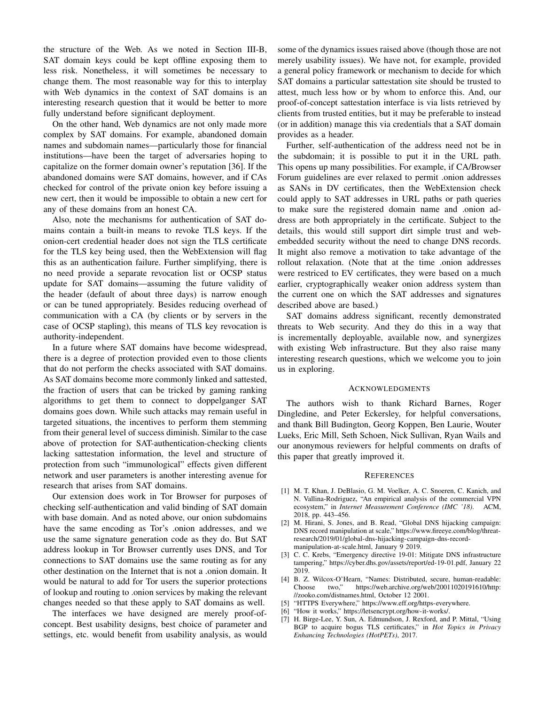the structure of the Web. As we noted in Section III-B, SAT domain keys could be kept offline exposing them to less risk. Nonetheless, it will sometimes be necessary to change them. The most reasonable way for this to interplay with Web dynamics in the context of SAT domains is an interesting research question that it would be better to more fully understand before significant deployment.

On the other hand, Web dynamics are not only made more complex by SAT domains. For example, abandoned domain names and subdomain names—particularly those for financial institutions—have been the target of adversaries hoping to capitalize on the former domain owner's reputation [36]. If the abandoned domains were SAT domains, however, and if CAs checked for control of the private onion key before issuing a new cert, then it would be impossible to obtain a new cert for any of these domains from an honest CA.

Also, note the mechanisms for authentication of SAT domains contain a built-in means to revoke TLS keys. If the onion-cert credential header does not sign the TLS certificate for the TLS key being used, then the WebExtension will flag this as an authentication failure. Further simplifying, there is no need provide a separate revocation list or OCSP status update for SAT domains—assuming the future validity of the header (default of about three days) is narrow enough or can be tuned appropriately. Besides reducing overhead of communication with a CA (by clients or by servers in the case of OCSP stapling), this means of TLS key revocation is authority-independent.

In a future where SAT domains have become widespread, there is a degree of protection provided even to those clients that do not perform the checks associated with SAT domains. As SAT domains become more commonly linked and sattested, the fraction of users that can be tricked by gaming ranking algorithms to get them to connect to doppelganger SAT domains goes down. While such attacks may remain useful in targeted situations, the incentives to perform them stemming from their general level of success diminish. Similar to the case above of protection for SAT-authentication-checking clients lacking sattestation information, the level and structure of protection from such "immunological" effects given different network and user parameters is another interesting avenue for research that arises from SAT domains.

Our extension does work in Tor Browser for purposes of checking self-authentication and valid binding of SAT domain with base domain. And as noted above, our onion subdomains have the same encoding as Tor's .onion addresses, and we use the same signature generation code as they do. But SAT address lookup in Tor Browser currently uses DNS, and Tor connections to SAT domains use the same routing as for any other destination on the Internet that is not a .onion domain. It would be natural to add for Tor users the superior protections of lookup and routing to .onion services by making the relevant changes needed so that these apply to SAT domains as well.

The interfaces we have designed are merely proof-ofconcept. Best usability designs, best choice of parameter and settings, etc. would benefit from usability analysis, as would some of the dynamics issues raised above (though those are not merely usability issues). We have not, for example, provided a general policy framework or mechanism to decide for which SAT domains a particular sattestation site should be trusted to attest, much less how or by whom to enforce this. And, our proof-of-concept sattestation interface is via lists retrieved by clients from trusted entities, but it may be preferable to instead (or in addition) manage this via credentials that a SAT domain provides as a header.

Further, self-authentication of the address need not be in the subdomain; it is possible to put it in the URL path. This opens up many possibilities. For example, if CA/Browser Forum guidelines are ever relaxed to permit .onion addresses as SANs in DV certificates, then the WebExtension check could apply to SAT addresses in URL paths or path queries to make sure the registered domain name and .onion address are both appropriately in the certificate. Subject to the details, this would still support dirt simple trust and webembedded security without the need to change DNS records. It might also remove a motivation to take advantage of the rollout relaxation. (Note that at the time .onion addresses were restriced to EV certificates, they were based on a much earlier, cryptographically weaker onion address system than the current one on which the SAT addresses and signatures described above are based.)

SAT domains address significant, recently demonstrated threats to Web security. And they do this in a way that is incrementally deployable, available now, and synergizes with existing Web infrastructure. But they also raise many interesting research questions, which we welcome you to join us in exploring.

## ACKNOWLEDGMENTS

The authors wish to thank Richard Barnes, Roger Dingledine, and Peter Eckersley, for helpful conversations, and thank Bill Budington, Georg Koppen, Ben Laurie, Wouter Lueks, Eric Mill, Seth Schoen, Nick Sullivan, Ryan Wails and our anonymous reviewers for helpful comments on drafts of this paper that greatly improved it.

#### **REFERENCES**

- [1] M. T. Khan, J. DeBlasio, G. M. Voelker, A. C. Snoeren, C. Kanich, and N. Vallina-Rodriguez, "An empirical analysis of the commercial VPN ecosystem," in *Internet Measurement Conference (IMC '18)*. ACM, 2018, pp. 443–456.
- [2] M. Hirani, S. Jones, and B. Read, "Global DNS hijacking campaign: DNS record manipulation at scale," https://www.fireeye.com/blog/threatresearch/2019/01/global-dns-hijacking-campaign-dns-recordmanipulation-at-scale.html, January 9 2019.
- [3] C. C. Krebs, "Emergency directive 19-01: Mitigate DNS infrastructure tampering," https://cyber.dhs.gov/assets/report/ed-19-01.pdf, January 22 2019.
- [4] B. Z. Wilcox-O'Hearn, "Names: Distributed, secure, human-readable: Choose two," https://web.archive.org/web/20011020191610/http: //zooko.com/distnames.html, October 12 2001.
- [5] "HTTPS Everywhere," https://www.eff.org/https-everywhere.
- [6] "How it works," https://letsencrypt.org/how-it-works/.
- [7] H. Birge-Lee, Y. Sun, A. Edmundson, J. Rexford, and P. Mittal, "Using BGP to acquire bogus TLS certificates," in *Hot Topics in Privacy Enhancing Technologies (HotPETs)*, 2017.